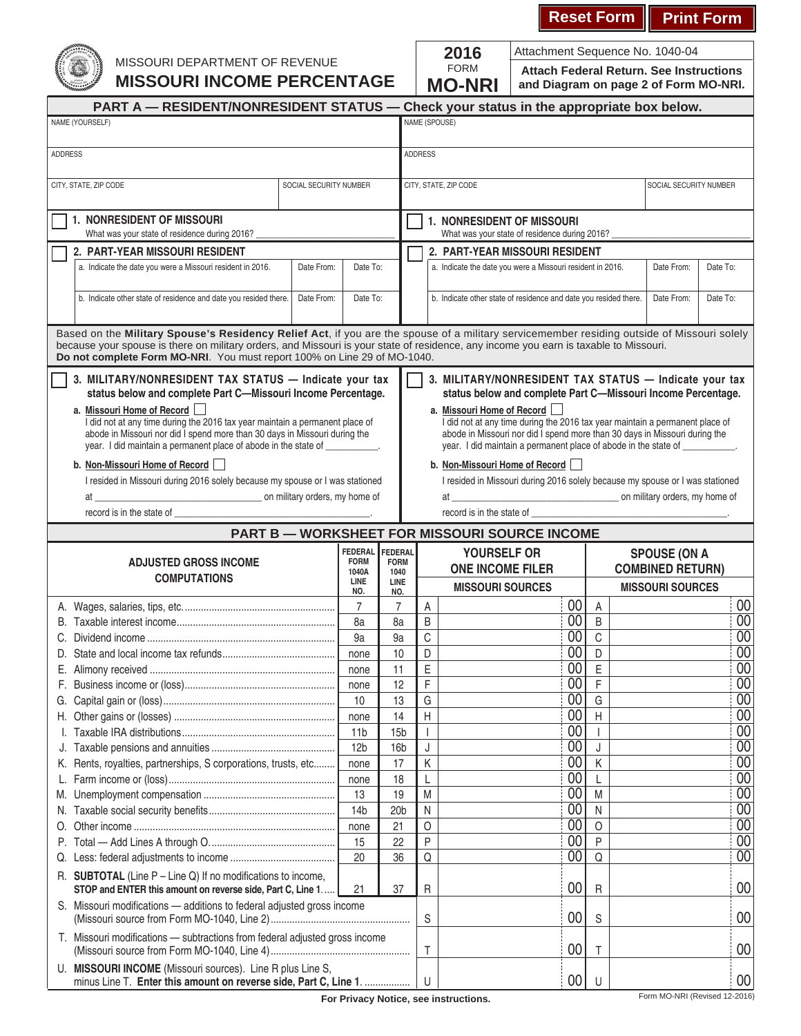## **Reset Form Print Form**

Attachment Sequence No. 1040-04



## MISSOURI DEPARTMENT OF REVENUE **MISSOURI INCOME PERCENTAGE**

| 2016          |
|---------------|
| FORM          |
| <b>MO-NRI</b> |

**Attach Federal Return. See Instructions and Diagram on page 2 of Form MO-NRI.**

| NAME (SPOUSE)<br>NAME (YOURSELF)<br><b>ADDRESS</b><br><b>ADDRESS</b><br>CITY, STATE, ZIP CODE<br>SOCIAL SECURITY NUMBER<br>CITY, STATE, ZIP CODE<br>SOCIAL SECURITY NUMBER<br>1. NONRESIDENT OF MISSOURI<br>1. NONRESIDENT OF MISSOURI<br>What was your state of residence during 2016?<br>What was your state of residence during 2016?<br>2. PART-YEAR MISSOURI RESIDENT<br>2. PART-YEAR MISSOURI RESIDENT<br>a. Indicate the date you were a Missouri resident in 2016.<br>Date From:<br>a. Indicate the date you were a Missouri resident in 2016.<br>Date To:<br>Date From:<br>Date To:<br>b. Indicate other state of residence and date you resided there.<br>Date From:<br>Date To:<br>b. Indicate other state of residence and date you resided there.<br>Date From:<br>Date To:<br>because your spouse is there on military orders, and Missouri is your state of residence, any income you earn is taxable to Missouri. |                                                                               |  |  |  |  |  |  |  |  |
|-----------------------------------------------------------------------------------------------------------------------------------------------------------------------------------------------------------------------------------------------------------------------------------------------------------------------------------------------------------------------------------------------------------------------------------------------------------------------------------------------------------------------------------------------------------------------------------------------------------------------------------------------------------------------------------------------------------------------------------------------------------------------------------------------------------------------------------------------------------------------------------------------------------------------------------|-------------------------------------------------------------------------------|--|--|--|--|--|--|--|--|
|                                                                                                                                                                                                                                                                                                                                                                                                                                                                                                                                                                                                                                                                                                                                                                                                                                                                                                                                   |                                                                               |  |  |  |  |  |  |  |  |
|                                                                                                                                                                                                                                                                                                                                                                                                                                                                                                                                                                                                                                                                                                                                                                                                                                                                                                                                   |                                                                               |  |  |  |  |  |  |  |  |
|                                                                                                                                                                                                                                                                                                                                                                                                                                                                                                                                                                                                                                                                                                                                                                                                                                                                                                                                   |                                                                               |  |  |  |  |  |  |  |  |
|                                                                                                                                                                                                                                                                                                                                                                                                                                                                                                                                                                                                                                                                                                                                                                                                                                                                                                                                   |                                                                               |  |  |  |  |  |  |  |  |
|                                                                                                                                                                                                                                                                                                                                                                                                                                                                                                                                                                                                                                                                                                                                                                                                                                                                                                                                   |                                                                               |  |  |  |  |  |  |  |  |
|                                                                                                                                                                                                                                                                                                                                                                                                                                                                                                                                                                                                                                                                                                                                                                                                                                                                                                                                   |                                                                               |  |  |  |  |  |  |  |  |
|                                                                                                                                                                                                                                                                                                                                                                                                                                                                                                                                                                                                                                                                                                                                                                                                                                                                                                                                   |                                                                               |  |  |  |  |  |  |  |  |
|                                                                                                                                                                                                                                                                                                                                                                                                                                                                                                                                                                                                                                                                                                                                                                                                                                                                                                                                   |                                                                               |  |  |  |  |  |  |  |  |
| Based on the Military Spouse's Residency Relief Act, if you are the spouse of a military servicemember residing outside of Missouri solely<br>Do not complete Form MO-NRI. You must report 100% on Line 29 of MO-1040.                                                                                                                                                                                                                                                                                                                                                                                                                                                                                                                                                                                                                                                                                                            |                                                                               |  |  |  |  |  |  |  |  |
| 3. MILITARY/NONRESIDENT TAX STATUS - Indicate your tax<br>3. MILITARY/NONRESIDENT TAX STATUS - Indicate your tax<br>status below and complete Part C-Missouri Income Percentage.<br>status below and complete Part C-Missouri Income Percentage.                                                                                                                                                                                                                                                                                                                                                                                                                                                                                                                                                                                                                                                                                  |                                                                               |  |  |  |  |  |  |  |  |
| a. Missouri Home of Record<br>a. Missouri Home of Record<br>I did not at any time during the 2016 tax year maintain a permanent place of<br>I did not at any time during the 2016 tax year maintain a permanent place of<br>abode in Missouri nor did I spend more than 30 days in Missouri during the<br>abode in Missouri nor did I spend more than 30 days in Missouri during the<br>year. I did maintain a permanent place of abode in the state of __________.<br>year. I did maintain a permanent place of abode in the state of ___________.                                                                                                                                                                                                                                                                                                                                                                               |                                                                               |  |  |  |  |  |  |  |  |
| b. Non-Missouri Home of Record<br>b. Non-Missouri Home of Record                                                                                                                                                                                                                                                                                                                                                                                                                                                                                                                                                                                                                                                                                                                                                                                                                                                                  |                                                                               |  |  |  |  |  |  |  |  |
| I resided in Missouri during 2016 solely because my spouse or I was stationed                                                                                                                                                                                                                                                                                                                                                                                                                                                                                                                                                                                                                                                                                                                                                                                                                                                     | I resided in Missouri during 2016 solely because my spouse or I was stationed |  |  |  |  |  |  |  |  |
| on military orders, my home of<br>at                                                                                                                                                                                                                                                                                                                                                                                                                                                                                                                                                                                                                                                                                                                                                                                                                                                                                              |                                                                               |  |  |  |  |  |  |  |  |
| record is in the state of __________<br>record is in the state of ____                                                                                                                                                                                                                                                                                                                                                                                                                                                                                                                                                                                                                                                                                                                                                                                                                                                            |                                                                               |  |  |  |  |  |  |  |  |
| <b>PART B - WORKSHEET FOR MISSOURI SOURCE INCOME</b>                                                                                                                                                                                                                                                                                                                                                                                                                                                                                                                                                                                                                                                                                                                                                                                                                                                                              |                                                                               |  |  |  |  |  |  |  |  |
| <b>FEDERAL</b><br>FEDERAL<br>YOURSELF OR<br><b>SPOUSE (ON A</b><br><b>FORM</b>                                                                                                                                                                                                                                                                                                                                                                                                                                                                                                                                                                                                                                                                                                                                                                                                                                                    |                                                                               |  |  |  |  |  |  |  |  |
| <b>ADJUSTED GROSS INCOME</b><br><b>FORM</b><br><b>ONE INCOME FILER</b><br><b>COMBINED RETURN)</b><br>1040A<br>1040<br><b>COMPUTATIONS</b>                                                                                                                                                                                                                                                                                                                                                                                                                                                                                                                                                                                                                                                                                                                                                                                         |                                                                               |  |  |  |  |  |  |  |  |
| LINE<br><b>LINE</b><br><b>MISSOURI SOURCES</b><br><b>MISSOURI SOURCES</b><br>NO.<br>NO.                                                                                                                                                                                                                                                                                                                                                                                                                                                                                                                                                                                                                                                                                                                                                                                                                                           |                                                                               |  |  |  |  |  |  |  |  |
| 00<br>$\overline{7}$<br>$\overline{7}$<br>Α<br>Α                                                                                                                                                                                                                                                                                                                                                                                                                                                                                                                                                                                                                                                                                                                                                                                                                                                                                  | 00                                                                            |  |  |  |  |  |  |  |  |
| $\overline{00}$<br>B<br>B<br>8a<br>8a                                                                                                                                                                                                                                                                                                                                                                                                                                                                                                                                                                                                                                                                                                                                                                                                                                                                                             | $\overline{00}$                                                               |  |  |  |  |  |  |  |  |
| $\overline{00}$<br>$\mathsf C$<br>C<br>9a<br>9a<br>C.                                                                                                                                                                                                                                                                                                                                                                                                                                                                                                                                                                                                                                                                                                                                                                                                                                                                             | $\overline{00}$                                                               |  |  |  |  |  |  |  |  |
| $\overline{00}$<br>D<br>D<br>10<br>none<br>D.                                                                                                                                                                                                                                                                                                                                                                                                                                                                                                                                                                                                                                                                                                                                                                                                                                                                                     | $\overline{00}$                                                               |  |  |  |  |  |  |  |  |
| $\overline{00}$<br>E<br>E<br>11<br>Е.<br>none                                                                                                                                                                                                                                                                                                                                                                                                                                                                                                                                                                                                                                                                                                                                                                                                                                                                                     | $\overline{00}$                                                               |  |  |  |  |  |  |  |  |
| 00 <br>F<br>F<br>12<br>none                                                                                                                                                                                                                                                                                                                                                                                                                                                                                                                                                                                                                                                                                                                                                                                                                                                                                                       | $\overline{00}$                                                               |  |  |  |  |  |  |  |  |
| 00<br>G<br>G<br>10<br>13                                                                                                                                                                                                                                                                                                                                                                                                                                                                                                                                                                                                                                                                                                                                                                                                                                                                                                          | $\overline{00}$                                                               |  |  |  |  |  |  |  |  |
| 00<br>H<br>14<br>H<br>none                                                                                                                                                                                                                                                                                                                                                                                                                                                                                                                                                                                                                                                                                                                                                                                                                                                                                                        | 00                                                                            |  |  |  |  |  |  |  |  |
| 00                                                                                                                                                                                                                                                                                                                                                                                                                                                                                                                                                                                                                                                                                                                                                                                                                                                                                                                                | $\overline{00}$                                                               |  |  |  |  |  |  |  |  |
| 11 <sub>b</sub><br>15 <sub>b</sub>                                                                                                                                                                                                                                                                                                                                                                                                                                                                                                                                                                                                                                                                                                                                                                                                                                                                                                |                                                                               |  |  |  |  |  |  |  |  |
| 00<br>12 <sub>b</sub><br>J<br>16 <sub>b</sub><br>J.                                                                                                                                                                                                                                                                                                                                                                                                                                                                                                                                                                                                                                                                                                                                                                                                                                                                               | $\overline{00}$                                                               |  |  |  |  |  |  |  |  |
| 00<br>Κ<br>Rents, royalties, partnerships, S corporations, trusts, etc<br>17<br>Κ<br>none<br>K.                                                                                                                                                                                                                                                                                                                                                                                                                                                                                                                                                                                                                                                                                                                                                                                                                                   | $\overline{00}$                                                               |  |  |  |  |  |  |  |  |
| 00<br>18<br>L<br>none<br>L.                                                                                                                                                                                                                                                                                                                                                                                                                                                                                                                                                                                                                                                                                                                                                                                                                                                                                                       | $\overline{00}$                                                               |  |  |  |  |  |  |  |  |
| $\overline{00}$<br>13<br>M<br>19<br>M<br>M.                                                                                                                                                                                                                                                                                                                                                                                                                                                                                                                                                                                                                                                                                                                                                                                                                                                                                       | 00                                                                            |  |  |  |  |  |  |  |  |
| $\overline{00}$<br>14 <sub>b</sub><br>$\mathsf{N}$<br>20 <sub>b</sub><br>N<br>N.                                                                                                                                                                                                                                                                                                                                                                                                                                                                                                                                                                                                                                                                                                                                                                                                                                                  | $\overline{00}$                                                               |  |  |  |  |  |  |  |  |
| $\overline{00}$<br>$\circ$<br>21<br>O<br>none<br>O.                                                                                                                                                                                                                                                                                                                                                                                                                                                                                                                                                                                                                                                                                                                                                                                                                                                                               | $\overline{00}$                                                               |  |  |  |  |  |  |  |  |
| 00<br>P<br>P<br>15<br>22<br>Р.                                                                                                                                                                                                                                                                                                                                                                                                                                                                                                                                                                                                                                                                                                                                                                                                                                                                                                    | $\overline{00}$                                                               |  |  |  |  |  |  |  |  |
| 00<br>Q<br>20<br>36<br>Q<br>Q.                                                                                                                                                                                                                                                                                                                                                                                                                                                                                                                                                                                                                                                                                                                                                                                                                                                                                                    | 00                                                                            |  |  |  |  |  |  |  |  |
| R. SUBTOTAL (Line $P -$ Line Q) If no modifications to income,<br>00<br>21<br>$\sf R$<br>R<br>STOP and ENTER this amount on reverse side, Part C, Line 1<br>37                                                                                                                                                                                                                                                                                                                                                                                                                                                                                                                                                                                                                                                                                                                                                                    | 00                                                                            |  |  |  |  |  |  |  |  |
| S. Missouri modifications - additions to federal adjusted gross income<br>$00\,$<br>$\mathsf S$<br>S                                                                                                                                                                                                                                                                                                                                                                                                                                                                                                                                                                                                                                                                                                                                                                                                                              | 00                                                                            |  |  |  |  |  |  |  |  |
| T. Missouri modifications - subtractions from federal adjusted gross income<br>$00\,$<br>$\top$<br>Τ                                                                                                                                                                                                                                                                                                                                                                                                                                                                                                                                                                                                                                                                                                                                                                                                                              | 00                                                                            |  |  |  |  |  |  |  |  |